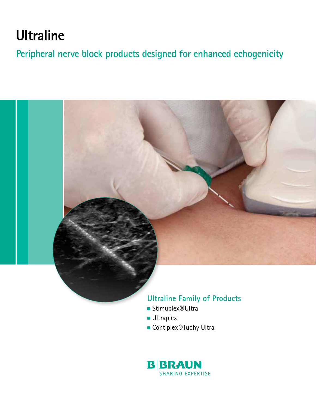# **Ultraline**

**Peripheral nerve block products designed for enhanced echogenicity**



# **Ultraline Family of Products**

- Stimuplex<sup>®</sup> Ultra
- Ultraplex
- Contiplex<sup>®</sup> Tuohy Ultra

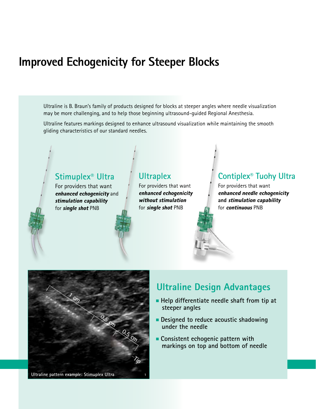# **Improved Echogenicity for Steeper Blocks**

 Ultraline is B. Braun's family of products designed for blocks at steeper angles where needle visualization may be more challenging, and to help those beginning ultrasound-guided Regional Anesthesia.

 Ultraline features markings designed to enhance ultrasound visualization while maintaining the smooth gliding characteristics of our standard needles.

#### **Stimuplex® Ultra** For providers that want enhanced echogenicity and stimulation capability for single shot PNB **Ultraplex** For providers that want enhanced echogenicity without stimulation for single shot PNB **Contiplex® Tuohy Ultra** For providers that want enhanced needle echogenicity **and** stimulation capability for continuous PNB



# **Ultraline Design Advantages**

- **Help differentiate needle shaft from tip at steeper angles**
- **Designed to reduce acoustic shadowing under the needle**
- **Consistent echogenic pattern with markings on top and bottom of needle**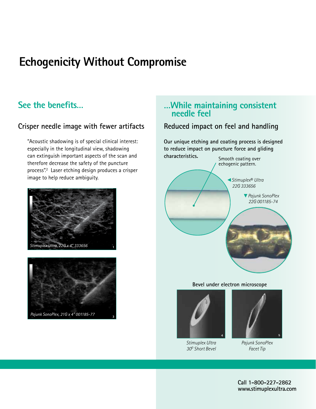# **Echogenicity Without Compromise**

# **See the benefits…**

## **Crisper needle image with fewer artifacts**

 "Acoustic shadowing is of special clinical interest: especially in the longitudinal view, shadowing can extinguish important aspects of the scan and therefore decrease the safety of the puncture process".2 Laser etching design produces a crisper image to help reduce ambiguity.





## **…While maintaining consistent needle feel**

## **Reduced impact on feel and handling**

**Our unique etching and coating process is designed to reduce impact on puncture force and gliding** 



#### **Bevel under electron microscope**



*Stimuplex Ultra 30o Short Bevel*



*Pajunk SonoPlex Facet Tip*

**Call 1-800-227-2862 www.stimuplexultra.com**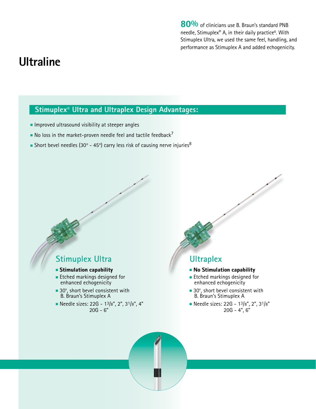80% of clinicians use B. Braun's standard PNB needle, Stimuplex**®** A, in their daily practice6. With Stimuplex Ultra, we used the same feel, handling, and performance as Stimuplex A and added echogenicity.

# **Ultraline**

## **Stimuplex® Ultra and Ultraplex Design Advantages:**

- Improved ultrasound visibility at steeper angles
- $\blacksquare$  No loss in the market-proven needle feel and tactile feedback<sup>7</sup>
- $\blacksquare$  Short bevel needles (30° 45°) carry less risk of causing nerve injuries $^8$

## **Stimuplex Ultra**

- Stimulation capability
- Etched markings designed for enhanced echogenicity
- 30°, short bevel consistent with B. Braun's Stimuplex A
- Needle sizes: 22G 13/8", 2", 31/8", 4" 20G - 6"

# **Ultraplex**

- No Stimulation capability
- Etched markings designed for enhanced echogenicity
- 30°, short bevel consistent with B. Braun's Stimuplex A
- Needle sizes: 22G 13/8", 2", 31/8" 20G - 4", 6"

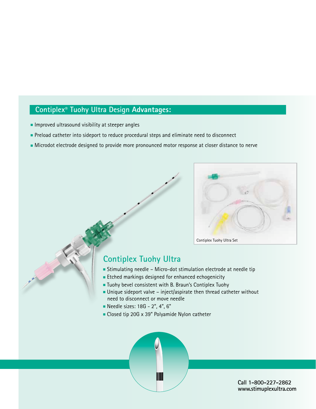## **Contiplex® Tuohy Ultra Design Advantages:**

- Improved ultrasound visibility at steeper angles
- Preload catheter into sideport to reduce procedural steps and eliminate need to disconnect
- Microdot electrode designed to provide more pronounced motor response at closer distance to nerve



## **Contiplex Tuohy Ultra**

- Stimulating needle Micro-dot stimulation electrode at needle tip
- Etched markings designed for enhanced echogenicity
- Tuohy bevel consistent with B. Braun's Contiplex Tuohy
- $\blacksquare$  Unique sideport valve inject/aspirate then thread catheter without need to disconnect or move needle
- Needle sizes: 18G 2", 4", 6"
- Closed tip 20G x 39" Polyamide Nylon catheter



**Call 1-800-227-2862 www.stimuplexultra.com**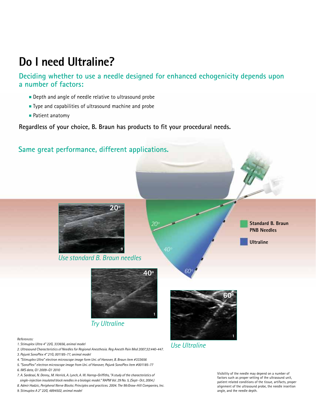# **Do I need Ultraline?**

**Deciding whether to use a needle designed for enhanced echogenicity depends upon a number of factors:**

- Depth and angle of needle relative to ultrasound probe
- Type and capabilities of ultrasound machine and probe

*2. Ultrasound Characteristics of Needles for Regional Anesthesia. Reg Anesth Pain Med 2007;32:440-447.* 

*4. "Stimuplex Ultra" electron microscope image form Uni. of Hanover, B. Braun item #333656 5. "SonoPlex" electron microscope image from Uni. of Hanover, Pajunk SonoPlex item #001185-77* 

*7. A. Sardesai, N. Denny., M. Herrick, A. Lynch, A. W. Harrop-Griffiths, "A study of the characteristics of single-injection insulated block needles in a biologic model." RAPM Vol. 29 No. 5, (Sept- Oct, 2004.) 8. Admir Hadzic, Peripheral Nerve Blocks: Principles and practices. 2004. The McGraw-Hill Companies, Inc.*

*3. Pajunk SonoPlex 4" 21G, 001185-77, animal model*

*9. Stimuplex A 2" 22G, 4894502, animal model*

*6. IMS data, Q1 2009–Q1 2010* 

■ Patient anatomy

**Regardless of your choice, B. Braun has products to fit your procedural needs.**



*Use Ultraline*

Visibility of the needle may depend on a number of factors such as proper setting of the ultrasound unit, patient related conditions of the tissue, artifacts, proper alignment of the ultrasound probe, the needle insertion angle, and the needle depth.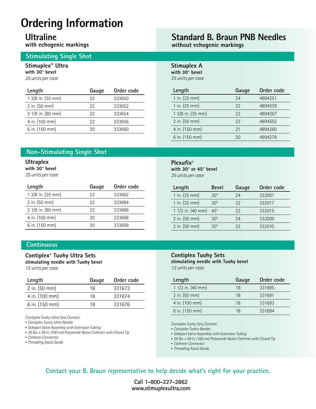# **Ordering Information**

# **Ultraline**

**with echogenic markings**

### **Stimulating Single Shot**

#### **Stimuplex® Ultra with 30° bevel**

*25 units per case*

| Gauge | Order code |
|-------|------------|
| 22    | 333650     |
| 22    | 333652     |
| 22    | 333654     |
| 22    | 333656     |
| ንበ    | 333660     |
|       |            |

### **Non-Stimulating Single Shot**

#### **Ultraplex**

**with 30° bevel** 

*25 units per case*

| Length            | Gauge | Order code |
|-------------------|-------|------------|
| 1 3/8 in. (35 mm) | 22    | 333662     |
| $2$ in. (50 mm)   | 22    | 333664     |
| 3 1/8 in. (80 mm) | 22    | 333666     |
| 4 in. (100 mm)    | 20    | 333668     |
| 6 in. (150 mm)    | 2Ο    | 333669     |

#### **Continuous**

#### **Contiplex® Tuohy Ultra Sets stimulating needle with Tuohy bevel**

*12 units per case*

| Length                    | Gauge | Order code |
|---------------------------|-------|------------|
| $2$ in. $(50 \text{ mm})$ | 18    | 331673     |
| 4 in. (100 mm)            | 18    | 331674     |
| 6 in. (150 mm)            | 18    | 331676     |

*Contiplex Tuohy Ultra Sets Contain:*

- *Contiplex Tuohy Ultra Needle*
- *Sideport Valve Assembly with Extension Tubing*
- *20 Ga. x 39 in. (100 cm) Polyamide Nylon Catheter with Closed Tip*
- *Catheter Connector*
- *Threading Assist Guide*

# **Standard B. Braun PNB Needles**

**without echogenic markings**

**Stimuplex A with 30° bevel** *25 units per case*

| Length            | Gauge | Order code |
|-------------------|-------|------------|
| 1 in. (25 mm)     | 24    | 4894251    |
| 1 in. (25 mm)     | 22    | 4894539    |
| 1 3/8 in. (35 mm) | 22    | 4894367    |
| 2 in. (50 mm)     | 22    | 4894502    |
| 4 in. (150 mm)    | 21    | 4894260    |
| 6 in. (150 mm)    |       | 4894278    |

### **Plexufix® with 30° or 45° bevel**

*25 units per case*

| Length                    | <b>Bevel</b> | Gauge | Order code |
|---------------------------|--------------|-------|------------|
| 1 in. (25 mm)             | $30^\circ$   | 24    | 332001     |
| 1 in. $(25 \, \text{mm})$ | $30^\circ$   | 22    | 332017     |
| 1 $1/2$ in. $(40$ mm)     | $45^{\circ}$ | 22    | 332015     |
| 2 in. (50 mm)             | $30^\circ$   | 24    | 332000     |
| 2 in. (50 mm)             | $30^{\circ}$ | 22    | 332010     |

#### **Contiplex Tuohy Sets**

**stimulating needle with Tuohy bevel** *12 units per case*

| Length            | Gauge | Order code |
|-------------------|-------|------------|
| 1 1/2 in. (40 mm) | 18    | 331695     |
| 2 in. (50 mm)     | 18    | 331691     |
| 4 in. (100 mm)    | 18    | 331693     |
| 6 in. (150 mm)    | 18    | 331694     |

*Contiplex Tuohy Sets Contain:*

▪ *Contiplex Tuohy Needle*

- *Sideport Valve Assembly with Extension Tubing*
- *20 Ga. x 39 in. (100 cm) Polyamide Nylon Catheter with Closed Tip*
- *Catheter Connector*
- *Threading Assist Guide*

### **Contact your B. Braun representative to help decide what's right for your practice.**

**Call 1-800-227-2862 www.stimuplexultra.com**